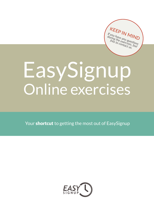**KEEP IN MIND** *If you have any questions*<br>*during the any questions*<br>*free to containes fens* during the any question<br>free to exercises, feel<br>free to contact us.

# EasySignup Online exercises

Your shortcut to getting the most out of EasySignup

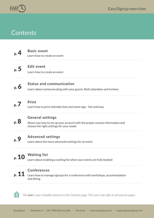

### **Contents**



#### **[Basic event](#page-3-0)**

Learn how to create an event

**[Edit event](#page-4-0)** p. [5](#page-4-0)

Learn how to create an event

**[Status and communication](#page-5-0)** Learn about communicating with your guests. Both attendees and invitees p. [6](#page-5-0)



#### **[Print](#page-6-0)**

Learn how to print attendee lists and name tags - fast and easy



#### **[General settings](#page-7-0)**

Shows you how to set up your account with the proper contact information and choose the right settings for your needs

#### **[Advanced settings](#page-8-0)** p. [9](#page-8-0)

Learn about the more advanced settings for an event



#### **[Waiting list](#page-9-0)**

Learn about enabling a waiting list when your events are fully booked



#### **[Conferences](#page-10-0)**

Learn how to manage signups for a conference with workshops, accommodation and dining



*This icon is your clickable shortcut to the Contents page. The icon is top right on all exercise pages.*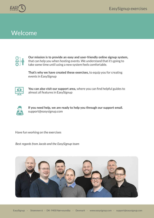

## Welcome



**Our mission is to provide an easy and user-friendly online signup system,** that can help you when hosting events. We understand that it's going to take some time until using a new system feels comfortable.

**That's why we have created these exercises,** to equip you for creating events in EasySignup



**You can also visit our support area,** where you can find helpful guides to almost all features in EasySignup



**If you need help, we are ready to help you through our support email.** support@easysignup.com

Have fun working on the exercises

*Best regards from Jacob and the EasySignup team*

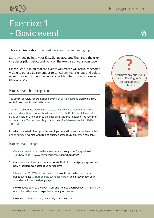# <span id="page-3-0"></span>Exercice 1 – Basic event

**This exercise is about** the most basic features in EasySignup.

Start by logging in to your EasySignup account. Then read the exercise description below and work on the exercise at your own pace.

Please keep in mind that the events you create will actually become visible to others. So remember to cancel any test signups and delete or set the events to not be publicly visible, when done working with the exercises.

### **Exercise description**

You are responsible for promotional events at EasySignup and plan to do a presentation on how to host better events.

The event takes place December 1st 2020 at 8:00 AM to 4:00 PM and takes place at Miami Beach Convention Center, 3000 NW 125th Street, Opa Locka, FL 33167. It is an event open to the public and it is free to attend. The room can accommodate 80 attendees. Registration deadline is November 25th 2020 at 4:00 PM.

In order for you to follow up on the event, you would like each attendee's mobile phone number. We also want to find out if an attendee represents a company.

#### **Exercise steps**

- 1. Create an event based on the above details through the 5 step wizard - See how to do it: [www.easysignup.com/support/guides/9](https://www.easysignup.com/support/guides/9/how-to-create-an-event/)
- 2. Once your event has been created, locate the link to the signup page and see how it looks from an attendee's perspective.

Click on the "VIEW SITE" button in the top of the menu bar to see your public event list. Click to see the event description and discover how your attendees will see the signup page.

3. Now that you can see the event from an attendee's perspective, try signing up one or two attendees to experience the signup process.

Use email addresses that you actually have access to.

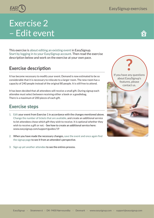# <span id="page-4-0"></span>Exercise 2 – Edit event

This exercise is about editing an existing event in EasySignup. Start by logging in to your EasySignup account. Then read the exercise description below and work on the exercise at your own pace.

### **Exercise description**

It has become necessary to modify your event. Demand is now estimated to be so considerable that it is necessary to relocate to a larger room. The new room has a capacity of 240 people instead of the original 80 people. It is still free to attend.

It has been decided that all attendees will receive a small gift. During signup each attendee must select between receiving either a book or a goodiebag. There is a maximum of 200 pieces of each gift.

#### **Exercise steps**

- 1. Edit your event from Exercise 1 in accordance with the changes mentioned above. Change the number of tickets that are available, and create an additional service to let attendees chose which gift they wish to receive. It is optional whether they wish to receive a gift or not. - See how to create an additional service here: [www.easysignup.com/support/guides/19](https://www.easysignup.com/support/guides/19/how-to-create-additional-services/)
- 2. When you have made the necessary changes, save the event and once again find the signup page to see it from an attendee's perspective.
- 3. Sign up yet another attendee to see the entires process.

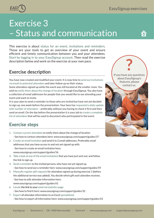<span id="page-5-0"></span>

# Exercise 3 – Status and communication

This exercise is about status for an event, invitations and reminders. Those are your tools to get an overview of your event and ensure efficient and timely communication between you and your attendees. Start by logging in to your EasySignup account. Then read the exercise description below and work on the exercise at your own pace.

#### **Exercise description**

You have now created and modified your event. It is now time to send out invitations via email to potential attendees and later follow up on their status.

Some attendees signed up while the event was still located at the smaller room. You wish to notify them about the change of location through EasySignup. You also have a collection of email addresses for people that you would like to see attending your event and want to invite.

It is your plan to send a reminder to those who are invited but have not yet decided to sign up, one week before the presentation. Your boss has requested a daily update with number of attendees – preferably without you having to check it first and then send an email. On the day before the presentation it is your job to create a complete list of attendees that will be used to document who participated in the event.

#### **Exercise steps**

- 1. Contact current attendees to notify them about the change of location - See how to contact attendees here: [www.easysignup.com/support/guides/37](https://www.easysignup.com/support/guides/37/contact-attendees-via-e-mail-or-text-message/)
- 2. Create an email invitation and send it to 2 email addresses. Preferably email addresses that you have access to and not yet signed up with.
	- See how to create an email invitation here:
	- www.easysignup.com/support/guides/56
- 3. Take a look at one of the email invitations that you have just sent out, and follow the link to sign up.
- 4. Send a reminder to the invited persons, who have not yet signed up. - See how to send out a reminder here: [www.easysignup.com/support/guides/59](https://www.easysignup.com/support/guides/59/remind-persons-with-unanswered-invitations/)
- 5. Manually register gift requests for attendees signed up during exercise 1 (before the additional service was added). You decide which gift each attendee receives. - See how to edit attendee information here: [www.easysignup.com/support/guides/61](https://www.easysignup.com/support/guides/61/how-to-edit-attendee-information/)
- 6. Locate the link to your external statistics page - See how to find it here: [www.easysignup.com/support/guides/32](https://www.easysignup.com/support/guides/32/update-company-executives-colleagues-or-partners-with-real-time-online-attendee-lists/)
- 7. Export all attendee information to an Excel spreadsheet - See how to export all information here: [www.easysignup.com/support/guides/43](https://www.easysignup.com/support/guides/43/how-to-export-an-attendee-list-report/)

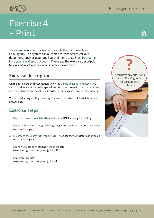<span id="page-6-0"></span>

# Exercise 4 – Print

This exercise is about printing lists and other documents in EasySignup. The system can automatically generate various documents such as attendee lists and name tags. Start by logging in to your EasySignup account. Then read the exercise description below and work on the exercise at your own pace.

### **Exercise description**

On the day before the presentation, when the signup deadline has passed, you can now take care of the last preparations. You have chosen to print out an attendee list with name and ticket type in order to check in guests when they show up.

You're considering printing name tags for everyone, which will be helpful when networking.

#### **Exercise steps**

- 1. Export and save a complete attendee list as a PDF file ready for printing.
- 2. Export and save name tags with logo. Eight per page, with information about name and company.
- 3. Export and save name tags without logo. Three per page, with information about name and company.

See how you can print out an attendee list here: [www.easysignup.com/support/guides/45](https://www.easysignup.com/support/guides/45/how-to-print-an-attendee-list/)

and name tags here: [www.easysignup.com/support/guides/46](https://www.easysignup.com/support/guides/46/how-to-print-attendee-name-badges/)

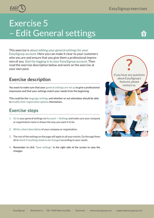<span id="page-7-0"></span>

# Exercise 5 – Edit General settings

This exercise is about editing your general settings for your EasySignup account. Here you can make it clear to your customers who you are and ensure that you give them a professional impression of you. Start by logging in to your EasySignup account. Then read the exercise description below and work on the exercise at your own pace.

### **Exercise description**

You want to make sure that your general settings are set up to give a professional impression and that your settings match your needs from the beginning.

This could be the language settings and whether or not attendees should be able to modify their registration options themselves.

#### **Exercise steps**

- 1. Go to your general settings via Account -> Settings and make sure your company or organisation name is shown the way you want it to be.
- 2. Write a short description of your company or organisation.
- 3. The rest of the settings on the page will apply to all your events.Go through them all to check if anything needs to be changed according to your needs.
- 4. Remember to click "Save settings" in the right side of the screen to save the changes.

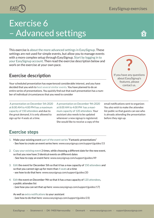# <span id="page-8-0"></span>Exercise 6 – Advanced settings

This exercise is about the more advanced settings in EasySignup. These settings are not used for simple events, but allow you to manage events with a more complex setup through EasySignup. Start by logging in to your EasySignup account. Then read the exercise description below and work on the exercise at your own pace.

### **Exercise description**

Your scheduled presentation has experienced considerable interest, and you have decided that you wish to host several similar events. You have planned to do an entire series of presentations. You quickly find out that each presentation has a number of individual circumstances that you need to consider

 A presentation on December 5th 2020 at 8:00 AM to 4:00 PM has a maximum capacity of 150 attendees and due to the great demand, it is only allowed to sign up for 4 seats at a time.

A presentation on December 9th 2020 at 8:00 AM to 4:00 PM has a maximum capacity of 120 attendees. Your assistant also needs to be updated whenever a new signup is registered. She would like to receive a copy of the

email notifications sent to organizer. You also wish to make the attendee list public so that guests can see who is already attending the presentation before they sign up.

### **Exercise steps**

- 1. Make your existing event part of the event series "Fantastic presentations" - See how to create an event series here: [www.easysignup.com/support/guides/15](https://www.easysignup.com/support/guides/15/how-to-create-an-event-series/)
- 2. Copy your existing event 2 times, while choosing a different date for the new event, so that you now have 3 identical events on different dates - See how to copy an event here: [www.easysignup.com/support/guides/49](https://www.easysignup.com/support/guides/49/how-to-copy-an-event-page/)
- 3. Edit the event for December 5th so that it has a max capacity of 150 attendees and so that you cannot sign up for more than 4 seats at a time - see how to do that here: [www.easysignup.com/support/guides/20](https://www.easysignup.com/support/guides/20/limit-number-of-attendees-per-registration/)
- 4. Edit the event on December 9th so that it has a max capacity of 120 attendees, a public attendee list
	- (see how you can set that up here: [www.easysignup.com/support/guides/17](https://www.easysignup.com/support/guides/17/show-attendee-list-on-the-registration-page/))

As well as extra notifications to your assistant - (see how to do that here: [www.easysignup.com/support/guides/23](https://www.easysignup.com/support/guides/23/add-persons-who-should-also-receive-notifications/))



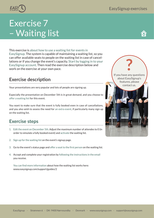# Exercise 7 – Waiting list

This exercise is about how to use a waiting list for events in EasySignup. The system is capable of maintaining a waiting list, so you can offer available seats to people on the waiting list in case of cancellations or if you change the event's capacity. Start by logging in to your EasySignup account. Then read the exercise description below and work on the exercise at your own pace.

### **Exercise description**

Your presentations are very popular and lots of people are signing up.

Especially the presentation on December 5th is in great demand, and you choose to offer a waiting list for this event.

You want to make sure that the event is fully booked even in case of cancellations, and you also wish to assess the need for an extra event, if particularly many sign up on the waiting list.

### **Exercise steps**

- 1. Edit the event on December 5th. Adjust the maximum number of attendes to 0 (in order to simulate a fully booked event) and activate the waiting list.
- 2. Sign up for the waiting list on the event's signup page.
- 3. Go to the event's status page and offer a seat to the first person on the waiting list.
- 4. Accept and complete your registration by following the instructions in the email you receive.

You can find more information about how the waiting list works here: [www.easysignup.com/support/guides/2](https://www.easysignup.com/support/guides/2/waitinglist/)





<span id="page-9-0"></span>